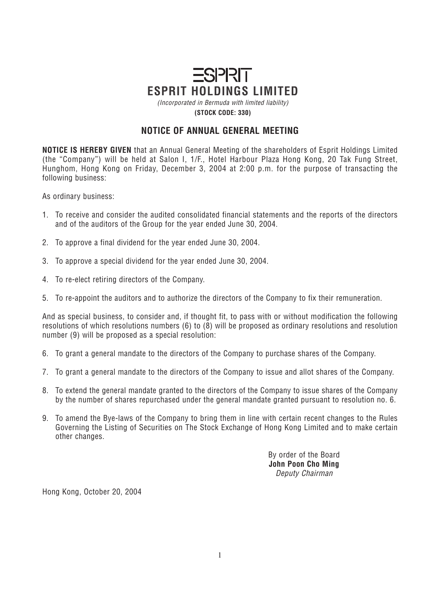## $ESPRET$ **ESPRIT HOLDINGS LIMITED**

*(Incorporated in Bermuda with limited liability)* **(STOCK CODE: 330)**

## **NOTICE OF ANNUAL GENERAL MEETING**

**NOTICE IS HEREBY GIVEN** *that an Annual General Meeting of the shareholders of Esprit Holdings Limited (the "Company") will be held at Salon I, 1/F., Hotel Harbour Plaza Hong Kong, 20 Tak Fung Street, Hunghom, Hong Kong on Friday, December 3, 2004 at 2:00 p.m. for the purpose of transacting the following business:*

*As ordinary business:*

- *1. To receive and consider the audited consolidated financial statements and the reports of the directors and of the auditors of the Group for the year ended June 30, 2004.*
- *2. To approve a final dividend for the year ended June 30, 2004.*
- *3. To approve a special dividend for the year ended June 30, 2004.*
- *4. To re-elect retiring directors of the Company.*
- *5. To re-appoint the auditors and to authorize the directors of the Company to fix their remuneration.*

*And as special business, to consider and, if thought fit, to pass with or without modification the following resolutions of which resolutions numbers (6) to (8) will be proposed as ordinary resolutions and resolution number (9) will be proposed as a special resolution:*

- *6. To grant a general mandate to the directors of the Company to purchase shares of the Company.*
- *7. To grant a general mandate to the directors of the Company to issue and allot shares of the Company.*
- *8. To extend the general mandate granted to the directors of the Company to issue shares of the Company by the number of shares repurchased under the general mandate granted pursuant to resolution no. 6.*
- *9. To amend the Bye-laws of the Company to bring them in line with certain recent changes to the Rules Governing the Listing of Securities on The Stock Exchange of Hong Kong Limited and to make certain other changes.*

*By order of the Board* **John Poon Cho Ming** *Deputy Chairman*

*Hong Kong, October 20, 2004*